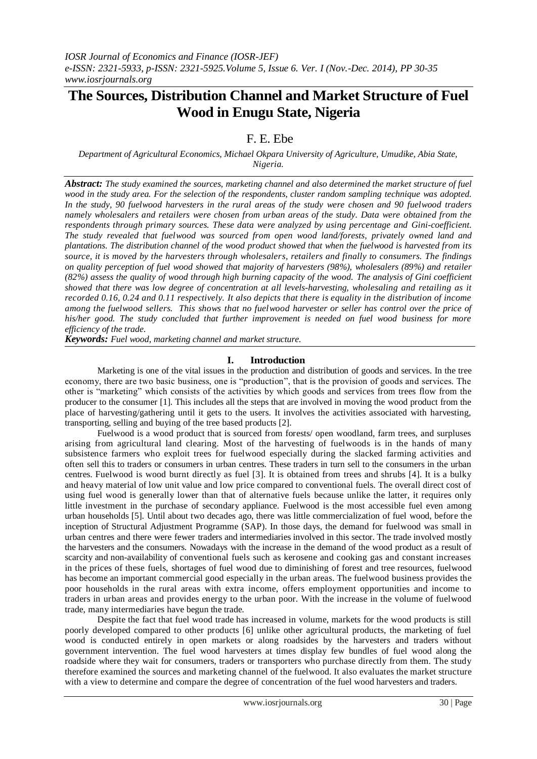# **The Sources, Distribution Channel and Market Structure of Fuel Wood in Enugu State, Nigeria**

F. E. Ebe

## *Department of Agricultural Economics, Michael Okpara University of Agriculture, Umudike, Abia State, Nigeria.*

*Abstract: The study examined the sources, marketing channel and also determined the market structure of fuel wood in the study area. For the selection of the respondents, cluster random sampling technique was adopted. In the study, 90 fuelwood harvesters in the rural areas of the study were chosen and 90 fuelwood traders namely wholesalers and retailers were chosen from urban areas of the study. Data were obtained from the respondents through primary sources. These data were analyzed by using percentage and Gini-coefficient. The study revealed that fuelwood was sourced from open wood land/forests, privately owned land and plantations. The distribution channel of the wood product showed that when the fuelwood is harvested from its source, it is moved by the harvesters through wholesalers, retailers and finally to consumers. The findings on quality perception of fuel wood showed that majority of harvesters (98%), wholesalers (89%) and retailer (82%) assess the quality of wood through high burning capacity of the wood. The analysis of Gini coefficient showed that there was low degree of concentration at all levels-harvesting, wholesaling and retailing as it recorded 0.16, 0.24 and 0.11 respectively. It also depicts that there is equality in the distribution of income among the fuelwood sellers. This shows that no fuelwood harvester or seller has control over the price of his/her good. The study concluded that further improvement is needed on fuel wood business for more efficiency of the trade.*

*Keywords: Fuel wood, marketing channel and market structure.*

# **I. Introduction**

Marketing is one of the vital issues in the production and distribution of goods and services. In the tree economy, there are two basic business, one is "production", that is the provision of goods and services. The other is "marketing" which consists of the activities by which goods and services from trees flow from the producer to the consumer [1]. This includes all the steps that are involved in moving the wood product from the place of harvesting/gathering until it gets to the users. It involves the activities associated with harvesting, transporting, selling and buying of the tree based products [2].

Fuelwood is a wood product that is sourced from forests/ open woodland, farm trees, and surpluses arising from agricultural land clearing. Most of the harvesting of fuelwoods is in the hands of many subsistence farmers who exploit trees for fuelwood especially during the slacked farming activities and often sell this to traders or consumers in urban centres. These traders in turn sell to the consumers in the urban centres. Fuelwood is wood burnt directly as fuel [3]. It is obtained from trees and shrubs [4]. It is a bulky and heavy material of low unit value and low price compared to conventional fuels. The overall direct cost of using fuel wood is generally lower than that of alternative fuels because unlike the latter, it requires only little investment in the purchase of secondary appliance. Fuelwood is the most accessible fuel even among urban households [5]. Until about two decades ago, there was little commercialization of fuel wood, before the inception of Structural Adjustment Programme (SAP). In those days, the demand for fuelwood was small in urban centres and there were fewer traders and intermediaries involved in this sector. The trade involved mostly the harvesters and the consumers. Nowadays with the increase in the demand of the wood product as a result of scarcity and non-availability of conventional fuels such as kerosene and cooking gas and constant increases in the prices of these fuels, shortages of fuel wood due to diminishing of forest and tree resources, fuelwood has become an important commercial good especially in the urban areas. The fuelwood business provides the poor households in the rural areas with extra income, offers employment opportunities and income to traders in urban areas and provides energy to the urban poor. With the increase in the volume of fuelwood trade, many intermediaries have begun the trade.

Despite the fact that fuel wood trade has increased in volume, markets for the wood products is still poorly developed compared to other products [6] unlike other agricultural products, the marketing of fuel wood is conducted entirely in open markets or along roadsides by the harvesters and traders without government intervention. The fuel wood harvesters at times display few bundles of fuel wood along the roadside where they wait for consumers, traders or transporters who purchase directly from them. The study therefore examined the sources and marketing channel of the fuelwood. It also evaluates the market structure with a view to determine and compare the degree of concentration of the fuel wood harvesters and traders.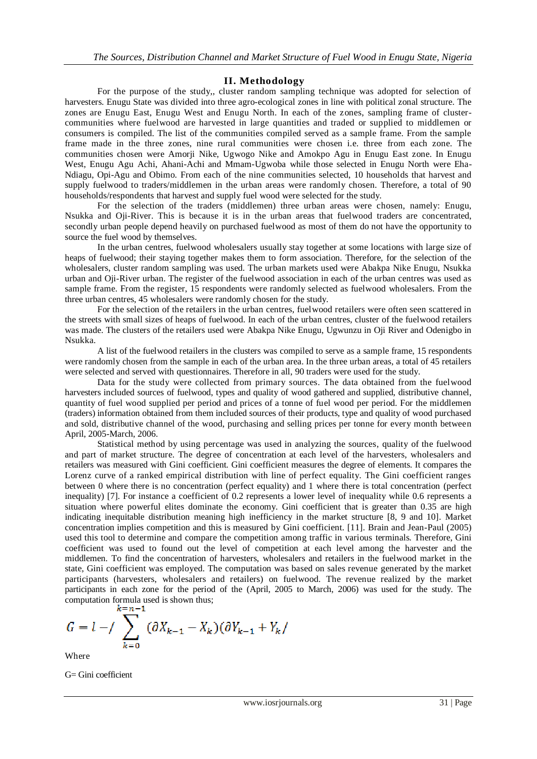## **II. Methodology**

For the purpose of the study,, cluster random sampling technique was adopted for selection of harvesters. Enugu State was divided into three agro-ecological zones in line with political zonal structure. The zones are Enugu East, Enugu West and Enugu North. In each of the zones, sampling frame of clustercommunities where fuelwood are harvested in large quantities and traded or supplied to middlemen or consumers is compiled. The list of the communities compiled served as a sample frame. From the sample frame made in the three zones, nine rural communities were chosen i.e. three from each zone. The communities chosen were Amorji Nike, Ugwogo Nike and Amokpo Agu in Enugu East zone. In Enugu West, Enugu Agu Achi, Ahani-Achi and Mmam-Ugwoba while those selected in Enugu North were Eha-Ndiagu, Opi-Agu and Obimo. From each of the nine communities selected, 10 households that harvest and supply fuelwood to traders/middlemen in the urban areas were randomly chosen. Therefore, a total of 90 households/respondents that harvest and supply fuel wood were selected for the study.

For the selection of the traders (middlemen) three urban areas were chosen, namely: Enugu, Nsukka and Oji-River. This is because it is in the urban areas that fuelwood traders are concentrated, secondly urban people depend heavily on purchased fuelwood as most of them do not have the opportunity to source the fuel wood by themselves.

In the urban centres, fuelwood wholesalers usually stay together at some locations with large size of heaps of fuelwood; their staying together makes them to form association. Therefore, for the selection of the wholesalers, cluster random sampling was used. The urban markets used were Abakpa Nike Enugu, Nsukka urban and Oji-River urban. The register of the fuelwood association in each of the urban centres was used as sample frame. From the register, 15 respondents were randomly selected as fuelwood wholesalers. From the three urban centres, 45 wholesalers were randomly chosen for the study.

For the selection of the retailers in the urban centres, fuelwood retailers were often seen scattered in the streets with small sizes of heaps of fuelwood. In each of the urban centres, cluster of the fuelwood retailers was made. The clusters of the retailers used were Abakpa Nike Enugu, Ugwunzu in Oji River and Odenigbo in Nsukka.

A list of the fuelwood retailers in the clusters was compiled to serve as a sample frame, 15 respondents were randomly chosen from the sample in each of the urban area. In the three urban areas, a total of 45 retailers were selected and served with questionnaires. Therefore in all, 90 traders were used for the study.

Data for the study were collected from primary sources. The data obtained from the fuelwood harvesters included sources of fuelwood, types and quality of wood gathered and supplied, distributive channel, quantity of fuel wood supplied per period and prices of a tonne of fuel wood per period. For the middlemen (traders) information obtained from them included sources of their products, type and quality of wood purchased and sold, distributive channel of the wood, purchasing and selling prices per tonne for every month between April, 2005-March, 2006.

Statistical method by using percentage was used in analyzing the sources, quality of the fuelwood and part of market structure. The degree of concentration at each level of the harvesters, wholesalers and retailers was measured with Gini coefficient. Gini coefficient measures the degree of elements. It compares the Lorenz curve of a ranked empirical distribution with line of perfect equality. The Gini coefficient ranges between 0 where there is no concentration (perfect equality) and 1 where there is total concentration (perfect inequality) [7]. For instance a coefficient of 0.2 represents a lower level of inequality while 0.6 represents a situation where powerful elites dominate the economy. Gini coefficient that is greater than 0.35 are high indicating inequitable distribution meaning high inefficiency in the market structure [8, 9 and 10]. Market concentration implies competition and this is measured by Gini coefficient. [11]. Brain and Jean-Paul (2005) used this tool to determine and compare the competition among traffic in various terminals. Therefore, Gini coefficient was used to found out the level of competition at each level among the harvester and the middlemen. To find the concentration of harvesters, wholesalers and retailers in the fuelwood market in the state, Gini coefficient was employed. The computation was based on sales revenue generated by the market participants (harvesters, wholesalers and retailers) on fuelwood. The revenue realized by the market participants in each zone for the period of the (April, 2005 to March, 2006) was used for the study. The computation formula used is shown thus;<br> $k=n-1$ 

$$
G = l - / \sum_{k=0} ( \partial X_{k-1} - X_k ) ( \partial Y_{k-1} + Y_k /
$$

Where

G= Gini coefficient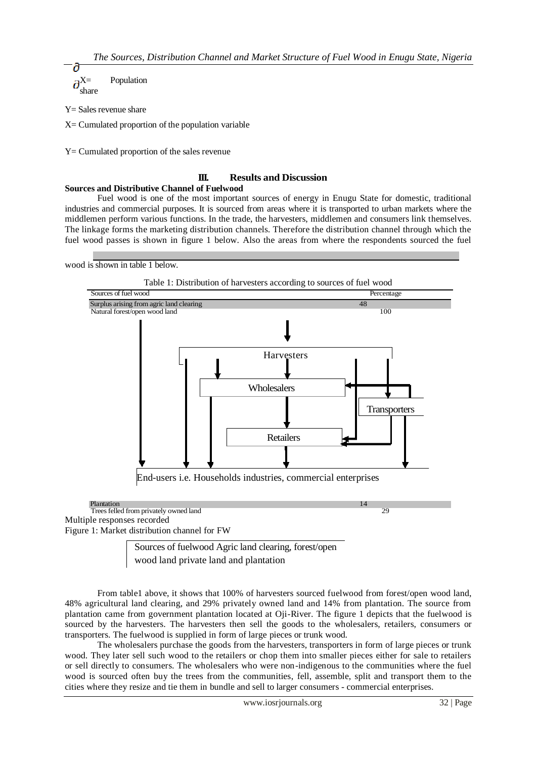$\partial^{X=}$  Population share

Y= Sales revenue share

X= Cumulated proportion of the population variable

Y= Cumulated proportion of the sales revenue

## **III. Results and Discussion**

#### **Sources and Distributive Channel of Fuelwood**

Fuel wood is one of the most important sources of energy in Enugu State for domestic, traditional industries and commercial purposes. It is sourced from areas where it is transported to urban markets where the middlemen perform various functions. In the trade, the harvesters, middlemen and consumers link themselves. The linkage forms the marketing distribution channels. Therefore the distribution channel through which the fuel wood passes is shown in figure 1 below. Also the areas from where the respondents sourced the fuel

wood is shown in table 1 below.



Trees felled from privately owned land 29 Multiple responses recorded Figure 1: Market distribution channel for FW

> Sources of fuelwood Agric land clearing, forest/open wood land private land and plantation

From table1 above, it shows that 100% of harvesters sourced fuelwood from forest/open wood land, 48% agricultural land clearing, and 29% privately owned land and 14% from plantation. The source from plantation came from government plantation located at Oji-River. The figure 1 depicts that the fuelwood is sourced by the harvesters. The harvesters then sell the goods to the wholesalers, retailers, consumers or transporters. The fuelwood is supplied in form of large pieces or trunk wood.

The wholesalers purchase the goods from the harvesters, transporters in form of large pieces or trunk wood. They later sell such wood to the retailers or chop them into smaller pieces either for sale to retailers or sell directly to consumers. The wholesalers who were non-indigenous to the communities where the fuel wood is sourced often buy the trees from the communities, fell, assemble, split and transport them to the cities where they resize and tie them in bundle and sell to larger consumers - commercial enterprises.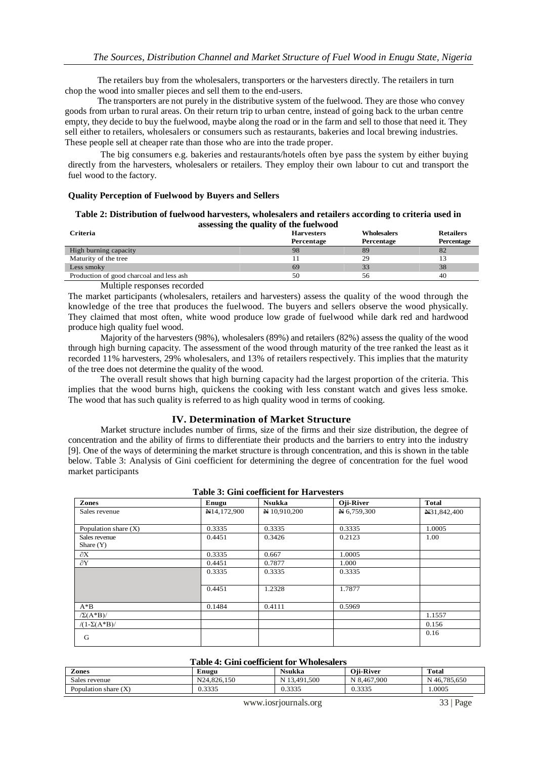The retailers buy from the wholesalers, transporters or the harvesters directly. The retailers in turn chop the wood into smaller pieces and sell them to the end-users.

The transporters are not purely in the distributive system of the fuelwood. They are those who convey goods from urban to rural areas. On their return trip to urban centre, instead of going back to the urban centre empty, they decide to buy the fuelwood, maybe along the road or in the farm and sell to those that need it. They sell either to retailers, wholesalers or consumers such as restaurants, bakeries and local brewing industries. These people sell at cheaper rate than those who are into the trade proper.

The big consumers e.g. bakeries and restaurants/hotels often bye pass the system by either buying directly from the harvesters, wholesalers or retailers. They employ their own labour to cut and transport the fuel wood to the factory.

#### **Quality Perception of Fuelwood by Buyers and Sellers**

#### **Table 2: Distribution of fuelwood harvesters, wholesalers and retailers according to criteria used in assessing the quality of the fuelwood**

| <b>Criteria</b>                          | <b>Harvesters</b><br>Percentage | <b>Wholesalers</b><br>Percentage | <b>Retailers</b><br>Percentage |
|------------------------------------------|---------------------------------|----------------------------------|--------------------------------|
| High burning capacity                    | 98                              | 89                               | 82                             |
| Maturity of the tree                     |                                 | 29                               |                                |
| Less smoky                               | 69                              | 33                               | 38                             |
| Production of good charcoal and less ash | 50                              | 56                               | 40                             |

Multiple responses recorded

The market participants (wholesalers, retailers and harvesters) assess the quality of the wood through the knowledge of the tree that produces the fuelwood. The buyers and sellers observe the wood physically. They claimed that most often, white wood produce low grade of fuelwood while dark red and hardwood produce high quality fuel wood.

Majority of the harvesters (98%), wholesalers (89%) and retailers (82%) assess the quality of the wood through high burning capacity. The assessment of the wood through maturity of the tree ranked the least as it recorded 11% harvesters, 29% wholesalers, and 13% of retailers respectively. This implies that the maturity of the tree does not determine the quality of the wood.

The overall result shows that high burning capacity had the largest proportion of the criteria. This implies that the wood burns high, quickens the cooking with less constant watch and gives less smoke. The wood that has such quality is referred to as high quality wood in terms of cooking.

#### **IV. Determination of Market Structure**

Market structure includes number of firms, size of the firms and their size distribution, the degree of concentration and the ability of firms to differentiate their products and the barriers to entry into the industry [9]. One of the ways of determining the market structure is through concentration, and this is shown in the table below. Table 3: Analysis of Gini coefficient for determining the degree of concentration for the fuel wood market participants

| Zones                  | Enugu       | <b>Nsukka</b> | Oji-River   | <b>Total</b> |
|------------------------|-------------|---------------|-------------|--------------|
| Sales revenue          | N14,172,900 | N 10,910,200  | N 6,759,300 | N31,842,400  |
|                        |             |               |             |              |
| Population share $(X)$ | 0.3335      | 0.3335        | 0.3335      | 1.0005       |
| Sales revenue          | 0.4451      | 0.3426        | 0.2123      | 1.00         |
| Share $(Y)$            |             |               |             |              |
| $\partial X$           | 0.3335      | 0.667         | 1.0005      |              |
| $\partial Y$           | 0.4451      | 0.7877        | 1.000       |              |
|                        | 0.3335      | 0.3335        | 0.3335      |              |
|                        |             |               |             |              |
|                        | 0.4451      | 1.2328        | 1.7877      |              |
|                        |             |               |             |              |
| $A^*B$                 | 0.1484      | 0.4111        | 0.5969      |              |
| $\sqrt{\Sigma(A^*B)}$  |             |               |             | 1.1557       |
| $/(1-\Sigma(A^*B))$    |             |               |             | 0.156        |
|                        |             |               |             | 0.16         |
| G                      |             |               |             |              |

| Table 3: Gini coefficient for Harvesters |  |  |  |  |
|------------------------------------------|--|--|--|--|
|------------------------------------------|--|--|--|--|

#### **Table 4: Gini coefficient for Wholesalers**

| T ADIC T. GHILLOCHICIGHI IVI V HOICSAICI S |             |              |             |              |
|--------------------------------------------|-------------|--------------|-------------|--------------|
| Zones                                      | Enugu       | Nsukka       | Oii-River   | Total        |
| Sales revenue                              | N24.826.150 | N 13.491.500 | N 8.467.900 | N 46,785,650 |
| Population share $(X)$                     | 0.3335      | 0.3335       | 0.3335      | .0005        |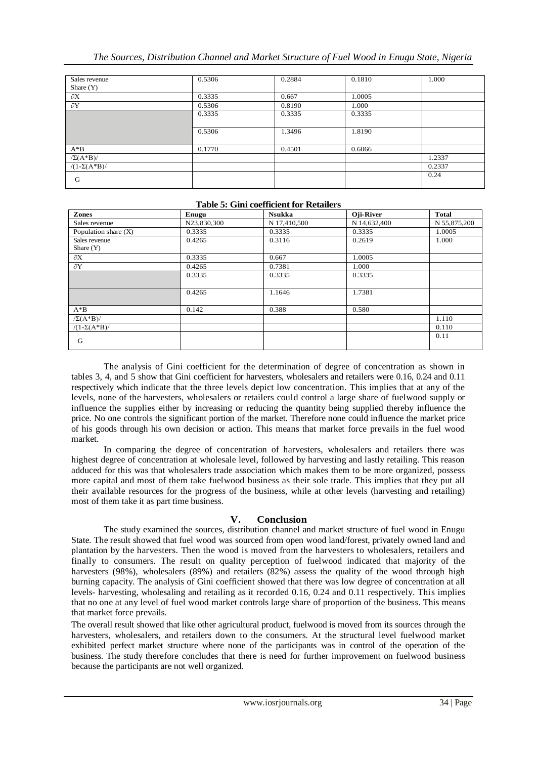| Sales revenue<br>Share $(Y)$ | 0.5306 | 0.2884 | 0.1810 | 1.000  |
|------------------------------|--------|--------|--------|--------|
|                              |        |        |        |        |
| $\partial X$                 | 0.3335 | 0.667  | 1.0005 |        |
| $\partial Y$                 | 0.5306 | 0.8190 | 1.000  |        |
|                              | 0.3335 | 0.3335 | 0.3335 |        |
|                              | 0.5306 | 1.3496 | 1.8190 |        |
| $A^*B$                       | 0.1770 | 0.4501 | 0.6066 |        |
| $\sqrt{\Sigma(A^*B)}$        |        |        |        | 1.2337 |
| $/(1-\Sigma(A^*B))$          |        |        |        | 0.2337 |
| G                            |        |        |        | 0.24   |

## **Table 5: Gini coefficient for Retailers**

| Zones                        | Enugu       | <b>Nsukka</b> | Oji-River    | <b>Total</b> |
|------------------------------|-------------|---------------|--------------|--------------|
| Sales revenue                | N23,830,300 | N 17,410,500  | N 14,632,400 | N 55,875,200 |
| Population share $(X)$       | 0.3335      | 0.3335        | 0.3335       | 1.0005       |
| Sales revenue<br>Share $(Y)$ | 0.4265      | 0.3116        | 0.2619       | 1.000        |
| $\partial X$                 | 0.3335      | 0.667         | 1.0005       |              |
| $\partial Y$                 | 0.4265      | 0.7381        | 1.000        |              |
|                              | 0.3335      | 0.3335        | 0.3335       |              |
|                              | 0.4265      | 1.1646        | 1.7381       |              |
| $A^*B$                       | 0.142       | 0.388         | 0.580        |              |
| $\sqrt{\Sigma(A^*B)}$        |             |               |              | 1.110        |
| $/(1-\Sigma(A^*B))$          |             |               |              | 0.110        |
| G                            |             |               |              | 0.11         |

The analysis of Gini coefficient for the determination of degree of concentration as shown in tables 3, 4, and 5 show that Gini coefficient for harvesters, wholesalers and retailers were 0.16, 0.24 and 0.11 respectively which indicate that the three levels depict low concentration. This implies that at any of the levels, none of the harvesters, wholesalers or retailers could control a large share of fuelwood supply or influence the supplies either by increasing or reducing the quantity being supplied thereby influence the price. No one controls the significant portion of the market. Therefore none could influence the market price of his goods through his own decision or action. This means that market force prevails in the fuel wood market.

In comparing the degree of concentration of harvesters, wholesalers and retailers there was highest degree of concentration at wholesale level, followed by harvesting and lastly retailing. This reason adduced for this was that wholesalers trade association which makes them to be more organized, possess more capital and most of them take fuelwood business as their sole trade. This implies that they put all their available resources for the progress of the business, while at other levels (harvesting and retailing) most of them take it as part time business.

# **V. Conclusion**

The study examined the sources, distribution channel and market structure of fuel wood in Enugu State. The result showed that fuel wood was sourced from open wood land/forest, privately owned land and plantation by the harvesters. Then the wood is moved from the harvesters to wholesalers, retailers and finally to consumers. The result on quality perception of fuelwood indicated that majority of the harvesters (98%), wholesalers (89%) and retailers (82%) assess the quality of the wood through high burning capacity. The analysis of Gini coefficient showed that there was low degree of concentration at all levels- harvesting, wholesaling and retailing as it recorded 0.16, 0.24 and 0.11 respectively. This implies that no one at any level of fuel wood market controls large share of proportion of the business. This means that market force prevails.

The overall result showed that like other agricultural product, fuelwood is moved from its sources through the harvesters, wholesalers, and retailers down to the consumers. At the structural level fuelwood market exhibited perfect market structure where none of the participants was in control of the operation of the business. The study therefore concludes that there is need for further improvement on fuelwood business because the participants are not well organized.